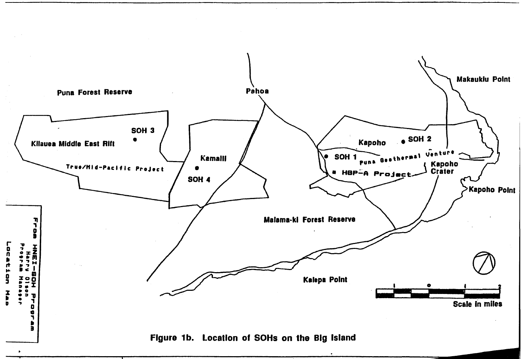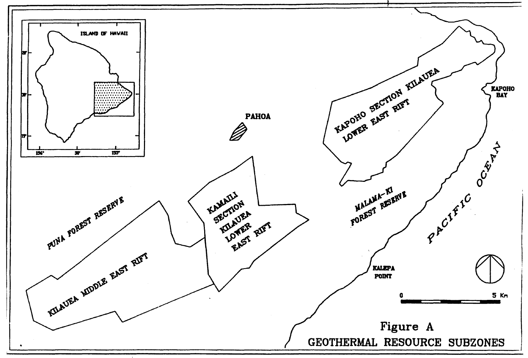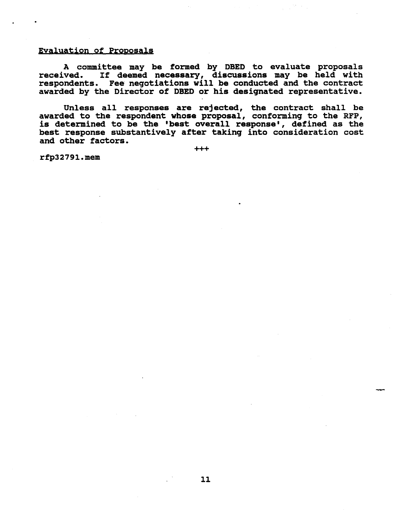## Evaluation of Proposals

A committee may be formed by DBED to evaluate proposals received. If deemed necessary, discussions may be held with respondents. Fee neqotiations will be conducted and the contract awarded by the Director of DBED or his desiqnated representative.

Unless all responses are rejected, the contract shall be awarded to the respondent whose proposal, conforminq to the RFP, is determined to be the 'best overall response', defined as the best response substantively after takinq into consideration cost and other factors.

+++

rfp32791.mem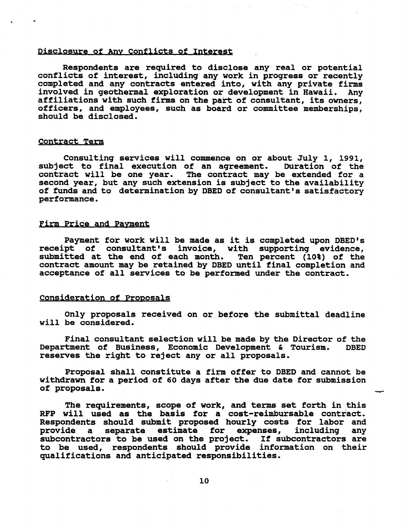## Disclosure of Any Conflicts of Interest

Respondents are required to disclose any real or potential conflicts of interest, including any work in progress or recently completed and any contracts entered into, with any private firms involved in geothermal explorati affiliations with such firms on the part of consultant, its owners, Officers, and employees, such as board or committee memberships, should be disclosed.

## Contract Term

Consultinq services will commence on or about July 1, 1991, subject to final execution of an agreement. contract will be one year. The contract may be extended for a second year, but any such extension is subject to the availability of funds and to determination by DBED of consultant's satisfactory performance.

### Firm Price and Payment

Payment for work will be made as it is completed upon DSED's receipt of consultant's invoice, with supporting evidence, submitted at the end of each month. Ten percent (10%) of the submitted at the end of each month. contract amount may be retained by DBED until final completion and acceptance of all services to be performed under the contract.

## consideration of Proposals

Only proposals received on or before the submittal deadline will be considered.

Final consultant selection will be made by the Director of the<br>tment of Business. Economic Development & Tourism. DBED Department of Business, Economic Development & Tourism. reserves the riqht to reject any or all proposals.

Proposal shall constitute a firm offer to DBED and cannot be withdrawn for a period of 60 days after the due date for submission of proposals.

--

The requirements, scope of work, and terms set forth in this RFP will used as the basis for a cost-reimbursable contract. Respondents should submit proposed hourly costs for labor and<br>provide a separate estimate for expenses, including any separate estimate for expenses, subcontractors to be used on the project. If subcontractors are to be used, respondents should provide information on their qualifications and anticipated responsibilities.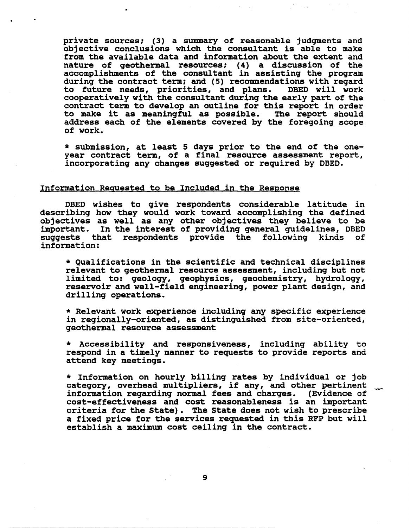private sources; (3) a summary of reasonable judgments and objective conclusions which the consultant is able to make from the available data and information about the extent and nature of geothermal resources; (4) a discussion of the accomplishments of the consultant in assisting the program during the contract term; and (5) recommendations with regard to future needs, priorities, and plans. DBED will work cooperatively with the consultant during the early part of the contract term to develop an outline for this report in order to make it as meaningful as possible. The report should address each of the elements covered by the foregoing scope of work.

\* submission, at least 5 days prior to the end of the oneyear contract term, of <sup>a</sup> final resource assessment report, incorporating any changes suggested or required by DBED.

## Information Regyested to be Included in the Response

DBED wishes to give respondents considerable latitude in describing how they would work toward accomplishing the defined objectives as well as any other objectives they believe to be important. In the interest of providing general guidelines, DBED suggests that respondents provide the following kinds of information:

\* Qualifications in the scientific and technical disciplines relevant to geothermal resource assessment, including but not limited to: geology, geophysics, geochemistry, hydrology, reservoir and well-field engineering, power plant design, and drilling operations.

\* Relevant work experience inclUding any specific experience in regionally-oriented, as distinguished from site-oriented, geothermal resource assessment

\* Accessibility and responsiveness, including ability to respond in a timely manner to requests to provide reports and attend key meetings.

\* Information on hourly billing rates by individual or job category, overhead multipliers, if any, and other pertinent<br>information regarding normal fees and charges. (Evidence of cost-effectiveness and cost reasonableness is an important criteria for the state). The state does not wish to prescribe a fixed price for the services requested in this RFP but will establish a maximum cost ceiling in the contract.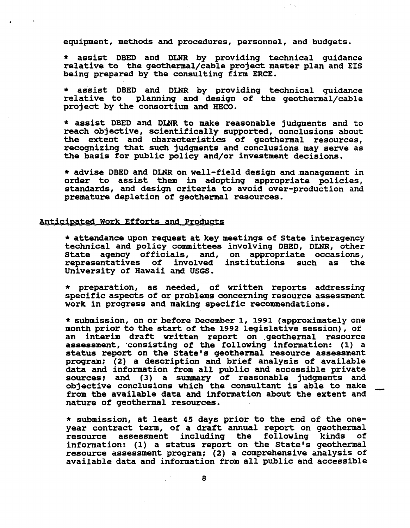equipment, methods and procedures, personnel, and budgets.

\* assist DBED and DLNR by providing technical guidance relative to the geothermal/cable project master plan and EIS being prepared by the consulting firm ERCE.

\* assist DBED and DLNR by providing technical guidance relative to planning and design of the geothermal/cable project by the consortium and HECO.

\* assist DBED and DLNR to make reasonable jUdgments and to reach objective, scientifically supported, conclusions about the extent and characteristics of geothermal resources, recognizing that such judgments and conclusions may serve as the basis for public policy and/or investment decisions.

\* advise DBED and DLNR on well-field design and.management in order to assist them in adopting appropriate policies, standards, and design criteria to avoid over-production and premature depletion of geothermal resources.

### Anticipated Work Efforts and Products

\* attendance upon request at key meetings of state interagency technical and policy committees involving DBED, DLNR, other state agency officials, and, on appropriate occasions, representatives of involved institutions such as the University of Hawaii and USGS.

\* preparation, as needed, of written reports addressing specific aspects of or problems concerning resource assessment work in progress and making specific recommendations.

\* submission, on or before December 1, 1991 (approximately one month prior to the start of the 1992 legislative session), of an interim draft written report on geothermal resource assessment, consisting of the following information: (1) a status report on the State's geothermal resource assessment program; (2) a description and brief analysis of available data and information from all public and accessible private sources; and (3) a summary of reasonable judgments and objective conclusions which the consultant is able to make from the available data and information about the extent and nature of geothermal resources.

--

\* submission, at least 45 days prior to the end of the oneyear contract term, of a draft annual report on geothermal<br>resource assessment including the following kinds of resource assessment including the following kinds information: (1) a status report on the State's geothermal resource assessment program; (2) a comprehensive analysis of available data and information from all public and accessible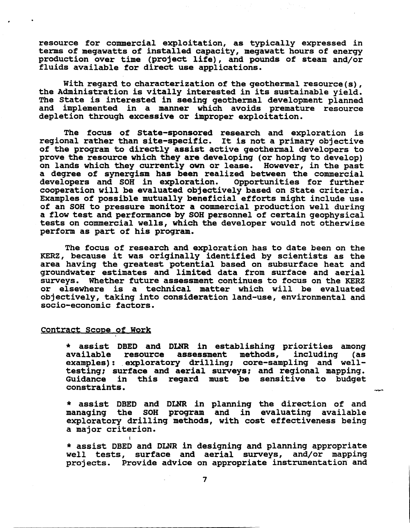resource for commercial exploitation, as typically expressed in<br>terms of megawatts of installed capacity, megawatt hours of energy production over time (project life), and pounds of steam and/or fluids available for direct use applications.

With regard to characterization of the geothermal resource(s),<br>the Administration is vitally interested in its sustainable yield.<br>The State is interested in seeing geothermal development planned<br>and implemented in a manner depletion through excessive or improper exploitation.

The focus of state-sponsored research and exploration is regional rather than site-specific. It is not <sup>a</sup> primary objective of the program to directly assist active geothermal developers to prove the resource which they are developing (or hoping to develop) on lands which they currently own or lease. However, in the past a degree of synergism has been realized between the commercial<br>developers and SOH in exploration. Opportunities for further developers and SOH in exploration. cooperation will be evaluated objectively based on state criteria. Examples of possible mutually beneficial efforts might include use of an SOH to pressure monitor a commercial production well during a flow test and performance by SOH personnel of certain geophysical tests on commercial wells, which the developer would not otherwise perform as part of his program.

The focus of research and exploration has to date been on the KERZ, because it was originally identified by scientists as the area having the greatest potential based on subsurface heat and groundwater estimates and limited data from surface and aerial surveys. Whether future assessment continues to focus on the KERZ or elseWhere is a technical matter which will be evaluated objectively, taking into consideration land-use, environmental and socio-economic factors.

#### Contract Scope of Work

I

\* assist DBED and DLNR in establishing priorities among available resource assessment methods, inclUding (as examples): exploratory drilling; core-sampling and welltesting; surface and aerial surveys; and regional mapping.<br>Guidance in this regard must be sensitive to budget constraints.

\* assist DBED and DLNR in planning the direction of and managing the SOH program and in evaluating available exploratory drilling methods, with cost effectiveness being a major criterion.

\* assist DBED and DLNR in designing and planning appropriate well tests, surface and aerial surveys, and/or mapping projects. Provide advice on appropriate instrumentation and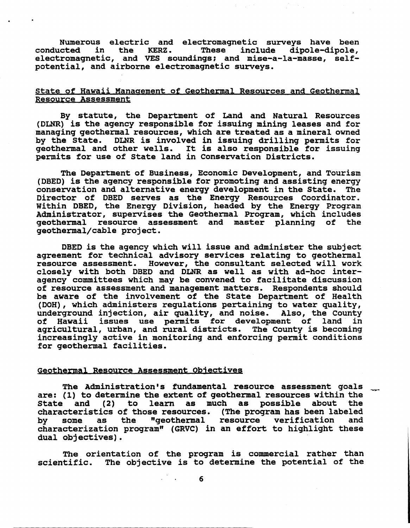Numerous electric and electromagnetic surveys have been<br>conducted in the KERZ. These include dipole-dipole, electromagnetic, and VES soundings; and mise-a-la-masse, selfpotential, and airborne electromagnetic surveys.

# state of Hawaii Management of Geothermal Resources and Geothermal Resource Assessment

By statute, the Department of Land and Natural Resources (DLNR) is the agency responsible for issuing mining leases and for managing geothermal resources, which are treated as a mineral owned DLNR is involved in issuing drilling permits for geothermal and other wells. It is also responsible for issuing permits for use of state land in Conservation Districts.

The Department of Business, Economic Development, and Tourism<br>(DBED) is the agency responsible for promoting and assisting energy (DBED) is the agency responsible for promoting and assisting energy conservation and alternative energy development in the State. The Director of DBED serves as the Energy Resources Coordinator. Within DBED, the Energy Division, headed by the Energy Program Administrator, supervises the Geothermal Program, which includes geothermal resource assessment and master planning of the geothermal/cable project.

DBED is the agency which will issue and administer the subject agreement for technical advisory services relating to geothermal resource assessment. However, the consultant selected will work closely with both DBED and DLNR as well as with ad-hoc interagency committees which may be convened to facilitate discussion of resource assessment and management matters. Respondents should be aware of the involvement of the state Department of Health (DOH), Which administers regulations pertaining to water quality, underground injection, air quality, and noise. Also, the county of Hawaii issues use permits for development of land in agricultural, urban, and rural districts. The County is becoming increasingly active in monitoring and enforcing permit conditions for geothermal facilities.

#### Geothermal Resource Assessment Objectives

The Administration's fundamental resource assessment goals are: (1) to determine the extent of geothermal resources within the<br>State and (2) to learn as much as possible about the State and  $(2)$  to learn as much as possible about characteristics of those resources. (The program has been labeled<br>by some as the "qeothermal resource verification and "geothermal resource verification characterization program" (GRVC) in an effort to highlight these dual objectives).

The orientation of the program is commercial rather than scientific. The objective is to determine the potential of the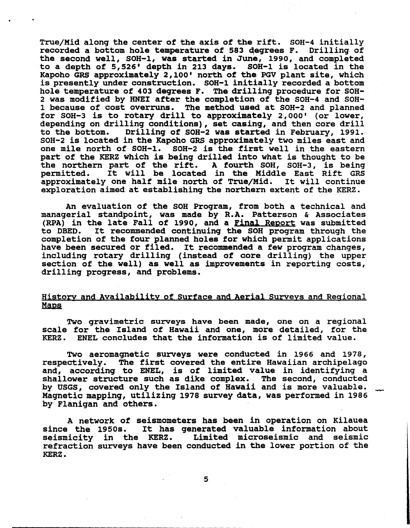True/Mid along the center of the axis of the rift. SOH-4 initially recorded a bottom hole temperature of 583 degrees F. Drilling of the second well, SOH-1, was started in June, 1990, and completed to a depth of 5,526' depth in 213 days. SOH-1 is located in the Kapoho GRS approximately 2,100' north of the PGV plant site, which is presently under construction. SOH-1 initially recorded a bottom hole temperature of 403 degrees F. The drilling procedure for SOH-2 was modified by HNEI after the completion of the SOH-4 and SOH-<br>1 because of cost overruns. The method used at SOH-2 and planned for SOH-3 is to rotary drill to approximately 2,000' (or lower, depending on drilling conditions), set casing, and then core drill<br>to the bottom. Drilling of SOH-2 was started in February, 1991. Drilling of SOH-2 was started in February, 1991. SOH-2 is located in the Kapoho GRS approximately two miles east and one mile north of SOH-I. SOH-2 is the first well in the eastern part of the KERZ Which is being drilled into what is thought to be the northern part of the rift. A fourth SOH, SOH-3, is being<br>permitted. It will be located in the Middle East Rift GRS<br>approximately one half mile north of True/Mid. It will continue approximately one half mile north of True/Mid. exploration aimed at establishing the northern extent of the KERZ.

An evaluation of the SOH Program, from both a technical and managerial standpoint, was made by R.A. Patterson & Associates (RPA) in the late Fall of 1990, and a Final Report was submitted to DSED. It recommended continuing the SOH program through the completion of the four planned holes for which permit applications have been secured or filed. It recommended <sup>a</sup> few program changes, including rotary drilling (instead of core drilling) the upper section of the well) as well as improvements in reporting costs, drilling progress, and problems.

# History and Availability of Surface and Aerial Surveys and Regional Maps

Two gravimetric surveys have been made, one on a regional scale for the Island of Hawaii and one, more detailed, for the KERZ. ENEL concludes that the information is of limited value. ENEL concludes that the information is of limited value.

Two aeromagnetic surveys were conducted in 1966 and 1978, respectively. The first covered the entire Hawaiian archipelago and, according to ENEL, is of limited value in identifying a shallower structure such as dike complex. The second, conducted by USGS, covered only the Island of Hawaii and is more valuable. Magnetic mapping, utilizing 1978 survey data, was performed in 1986 by Flanigan and others.

A network of seismometers has been in operation on Kilauea since the 1950s. It has generated valuable information about<br>seismicity in the KERZ. Limited microseismic and seismic Limited microseismic and seismic refraction surveys have been conducted in the lower portion of the KERZ.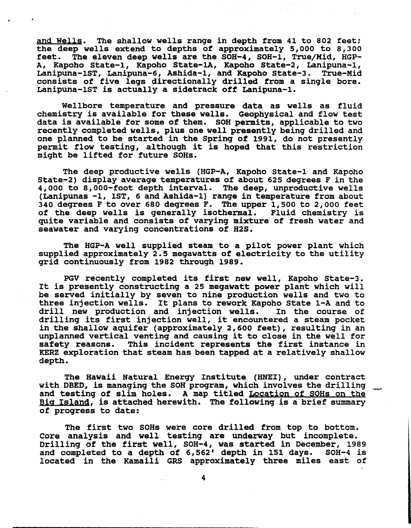and Wells. The shallow wells range in depth from 41 to 802 feet; the deep wells extend to depths of approximately 5,000 to 8,300 feet. The eleven deep wells are the SOH-4, SOH-1, True/Mid, HGP-A, Kapoho State-1, Kapoho State-lA, Kapoho State-2, Lanipuna-1, Lanipuna-1ST, Lanipuna-6, Ashida-1, and Kapoho State-3. True-Mid consists of five legs directionally drilled from a single bore. Lanipuna-1ST is actually a sidetrack off Lanipuna-1.

Wellbore temperature and pressure data as wells as fluid chemistry is available for these wells. Geophysical and flow test data is available for some of them. SOH permits, applicable to two recently completed wells, plus one well presently being drilled and one planned to be started in the Spring of 1991, do not presently permit flow testing, although it is hoped that this restriction might be lifted for future SOHs.

The deep productive wells (HGP-A, Kapoho State-1 and Kapoho State-2) display average temperatures of about 625 degrees F in the 4,000 to 8,000-foot depth interval. The deep, unproductive wells (Lanipunas -1, 1ST, 6 and Ashida-1) range in temperature from about 340 degrees F to over 680 degrees F. The upper 1,500 to 2,000 feet<br>of the deep wells is generally isothermal. Fluid chemistry is of the deep wells is generally isothermal. quite variable and consists of varying mixture of fresh water and seawater and varying concentrations of H2S.

The HGP-A well supplied steam to a pilot power plant which supplied approximately 2.5 megawatts of electricity to the utility grid continuously from 1982 through 1989.

PGV recently completed its first new well, Kapoho State-3. It is presently constructing <sup>a</sup> <sup>25</sup> megawatt power plant which will be served initially by seven to nine production wells and two to three injection wells. It plans to rework Kapoho State 1-A and to<br>drill new production and injection wells. In the course of drill new production and injection wells. drilling its first injection well, it encountered <sup>a</sup> steam pocket in the shallow aquifer (approximately 2,600 feet), resulting in an unplanned vertical venting and causing it to close in the well for<br>safety reasons. This incident represents the first instance in This incident represents the first instance in KERZ exploration that steam has been tapped at a relatively shallow depth.

The Hawaii Natural Energy Institute (RNEI), under contract with DBED, is managing the SOH program, which involves the drilling and testing of slim holes. A map titled <u>Location of SOHs on the</u> Big Island, is attached herewith. The following is a brief summary of progress to date:

The first two SOHs were core drilled from top to bottom. Core analysis and well testing are underway but incomplete. Drilling of the first well, SOH-4, was started in December, 1989<br>and completed to a depth of 6,562' depth in 151 days. SOH-4 is and completed to a depth of  $6,562'$  depth in 151 days. located in the Kamaili GRS approximately three miles east of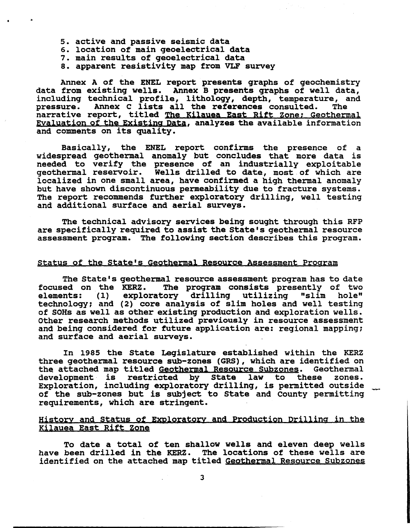- 5. active and passive seismic data
- 6. location of main geoelectrical data
- 7. main results of geoelectrical data
- 8. apparent resistivity map from VLF survey

Annex <sup>A</sup> of the ENEL report presents graphs of geochemistry data from existing wells. Annex <sup>B</sup> presents graphs of well data, including technical profile, lithology, depth, temperature, and Incruding dechilical profile, itehorogy, depth, temperature, and the references consulted. The pressure. Annex C lists all the references consulted. The narrative report, titled The Kilauea East Rift Zone; Geothermal Evaluation of the Existing Data, analyzes the available information and comments on its quality.

Basically, the ENEL report confirms the presence of a widespread geothermal anomaly but concludes that more data is needed to verify the presence of an industrially exploitable geothermal reservoir. Wells drilled to date, most of which are localized in one small area, have confirmed a high thermal anomaly but have shown discontinuous permeability due to fracture systems. The report recommends further exploratory drilling, well testing and additional surface and aerial surveys.

The technical advisory services being sought through this RFP are specifically required to assist the State's geothermal resource assessment program. The following section describes this program.

## Status of the State's Geothermal Resource Assessment Program

The State's geothermal resource assessment program has to date focused on the KERZ. The program consists presently of two elements: (1) exploratory drilling utilizing "slim hole" technology; and (2) core analysis of slim holes and well testing of SOHs as well as other existing production and exploration wells. Other research methods utilized previously in resource assessment and being considered for future application are: regional mapping; and surface and aerial surveys.

In 1985 the state Legislature established within the KERZ three geothermal resource sub-zones (GRS), which are identified on the attached map titled <u>Geothermal Resource Subzones</u>. Geothermal<br>development is restricted by State law to these zones. development is restricted by State law to these Exploration, inclUding exploratory drilling, is permitted outside of the sub-zones but is subject to state and county permitting requirements, which are stringent.

# History and status of Exploratory and Production Drilling in the Kilauea East Rift Zone

To date a total of ten shallow wells and eleven deep wells have been drilled in the KERZ. The locations of these wells are identified on the attached map titled Geothermal Resource Subzones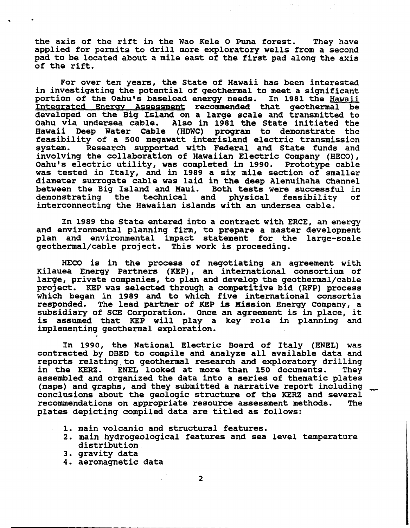the axis of the rift *in* the Wao Kele <sup>0</sup> Puna forest. They have applied for permits to drill more exploratory wells from a second pad to be located about <sup>a</sup> mile east of the first pad along the axis of the rift.

For over ten years, the State of Hawaii has been interested<br>in investigating the potential of geothermal to meet a significant portion of the Oahu's baseload energy needs. In 1981 the Hawaii Integrated Energy Assessment recommended that geothermal be developed on the Big Island on a large scale and transmitted to Also in 1981 the State initiated the Hawaii Oeep Water Cable (HOWC) program to demonstrate the feasibility of a 500 megawatt interisland electric transmission Research supported with Federal and State funds and involving the collaboration of Hawaiian Electric Company (HECO), Oahu's electric utility, was completed in 1990. was tested in Italy, and in 1989 a six mile section of smaller diameter surrogate cable was laid in the deep Alenuihaha Channel between the Big Island and Maui. Both tests were successful in demonstrating the technical and physical feasibility of physical feasibility interconnecting the Hawaiian islands with an undersea cable.

In <sup>1989</sup> the state entered into <sup>a</sup> contract with ERCE, an energy and environmental planning firm, to prepare <sup>a</sup> master development plan and environmental impact statement for the large-scale geothermal/cable project. This work is proceeding.

HECO *is* in the process of negotiating an agreement with Kilauea Energy Partners (KEP), an international consortium of large, private companies, to plan and develop the geothermal/cable project. KEP was selected throuqh a competitive bid (RFP) process which began in 1989 and to which five international consortia<br>responded. The lead partner of KEP is Mission Energy Company, a The lead partner of KEP is Mission Energy Company, a subsidiary of SCE corporation. Once an aqreement is in place, it assumed that KEP will play a key role in planning and implementinq qeothermal exploration.

In 1990, the National Electric Board of Italy (ENEL) was contracted by OBEO to compile and analyze all available data and reports relating to geothermal research and exploratory drilling<br>in the KERZ. ENEL looked at more than 150 documents. They<br>assembled and organized the data into a series of thematic plates (maps) and graphs, and they submitted a narrative report including conclusions about the qeoloqic structure of the KERZ and several recommendations on appropriate resource assessment methods. The plates depictinq compiled data are titled as follows:

- 1. main volcanic and structural features.
- 2. main hydrogeological features and sea level temperature distribution
- 3. gravity data
- 4. aeromagnetic data